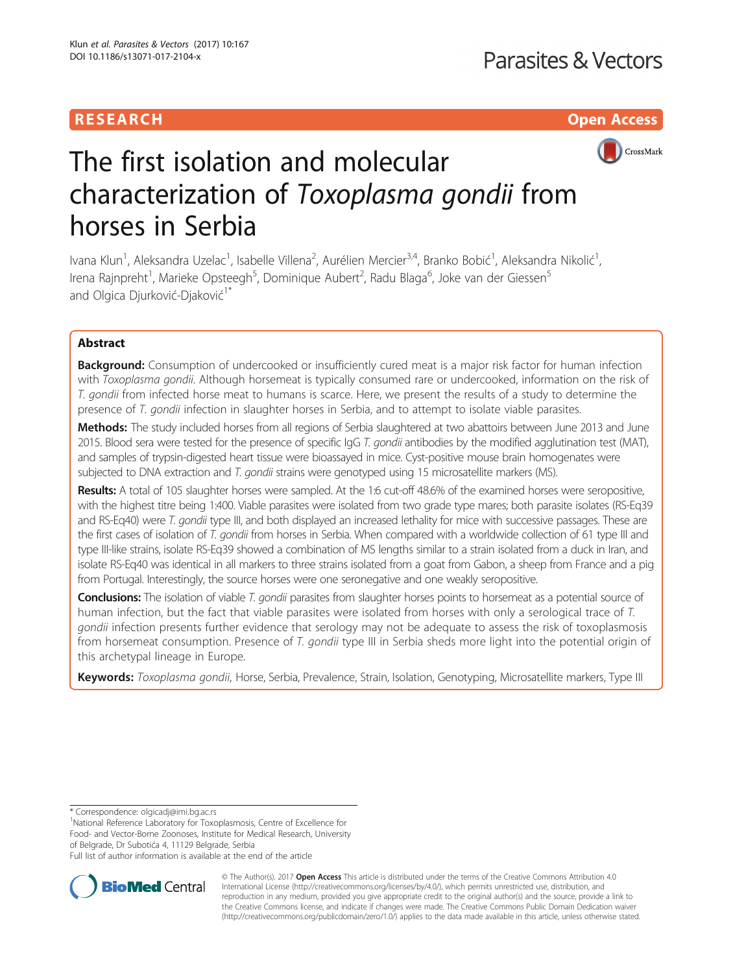## RESEARCH **RESEARCH CHOOSE ACCESS**



# The first isolation and molecular characterization of Toxoplasma gondii from horses in Serbia

Ivana Klun<sup>1</sup>, Aleksandra Uzelac<sup>1</sup>, Isabelle Villena<sup>2</sup>, Aurélien Mercier<sup>3,4</sup>, Branko Bobić<sup>1</sup>, Aleksandra Nikolić<sup>1</sup> , Irena Rajnpreht<sup>1</sup>, Marieke Opsteegh<sup>5</sup>, Dominique Aubert<sup>2</sup>, Radu Blaga<sup>6</sup>, Joke van der Giessen<sup>5</sup> and Olgica Djurković-Djaković<sup>1\*</sup>

## Abstract

**Background:** Consumption of undercooked or insufficiently cured meat is a major risk factor for human infection with Toxoplasma gondii. Although horsemeat is typically consumed rare or undercooked, information on the risk of T. gondii from infected horse meat to humans is scarce. Here, we present the results of a study to determine the presence of T. gondii infection in slaughter horses in Serbia, and to attempt to isolate viable parasites.

Methods: The study included horses from all regions of Serbia slaughtered at two abattoirs between June 2013 and June 2015. Blood sera were tested for the presence of specific IgG T. gondii antibodies by the modified agglutination test (MAT), and samples of trypsin-digested heart tissue were bioassayed in mice. Cyst-positive mouse brain homogenates were subjected to DNA extraction and T. gondii strains were genotyped using 15 microsatellite markers (MS).

Results: A total of 105 slaughter horses were sampled. At the 1:6 cut-off 48.6% of the examined horses were seropositive, with the highest titre being 1:400. Viable parasites were isolated from two grade type mares; both parasite isolates (RS-Eq39 and RS-Eq40) were T. gondii type III, and both displayed an increased lethality for mice with successive passages. These are the first cases of isolation of T. gondii from horses in Serbia. When compared with a worldwide collection of 61 type III and type III-like strains, isolate RS-Eq39 showed a combination of MS lengths similar to a strain isolated from a duck in Iran, and isolate RS-Eq40 was identical in all markers to three strains isolated from a goat from Gabon, a sheep from France and a pig from Portugal. Interestingly, the source horses were one seronegative and one weakly seropositive.

Conclusions: The isolation of viable T. gondii parasites from slaughter horses points to horsemeat as a potential source of human infection, but the fact that viable parasites were isolated from horses with only a serological trace of T. gondii infection presents further evidence that serology may not be adequate to assess the risk of toxoplasmosis from horsemeat consumption. Presence of T. gondii type III in Serbia sheds more light into the potential origin of this archetypal lineage in Europe.

Keywords: Toxoplasma gondii, Horse, Serbia, Prevalence, Strain, Isolation, Genotyping, Microsatellite markers, Type III

\* Correspondence: [olgicadj@imi.bg.ac.rs](mailto:olgicadj@imi.bg.ac.rs) <sup>1</sup>

<sup>1</sup>National Reference Laboratory for Toxoplasmosis, Centre of Excellence for Food- and Vector-Borne Zoonoses, Institute for Medical Research, University of Belgrade, Dr Subotića 4, 11129 Belgrade, Serbia

Full list of author information is available at the end of the article



© The Author(s). 2017 **Open Access** This article is distributed under the terms of the Creative Commons Attribution 4.0 International License [\(http://creativecommons.org/licenses/by/4.0/](http://creativecommons.org/licenses/by/4.0/)), which permits unrestricted use, distribution, and reproduction in any medium, provided you give appropriate credit to the original author(s) and the source, provide a link to the Creative Commons license, and indicate if changes were made. The Creative Commons Public Domain Dedication waiver [\(http://creativecommons.org/publicdomain/zero/1.0/](http://creativecommons.org/publicdomain/zero/1.0/)) applies to the data made available in this article, unless otherwise stated.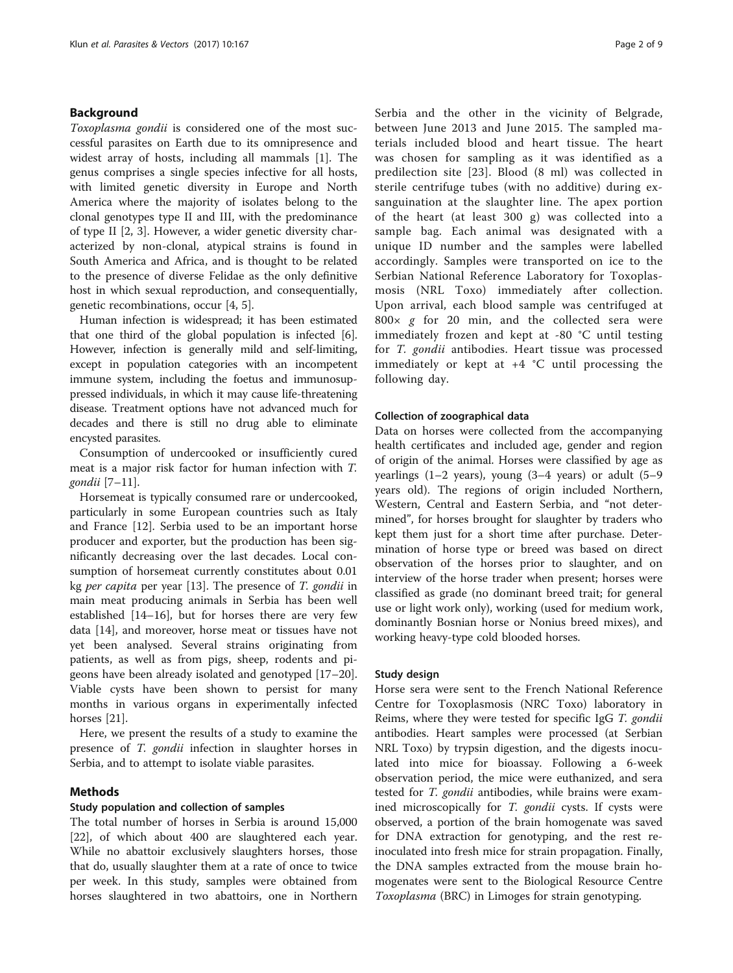## Background

Toxoplasma gondii is considered one of the most successful parasites on Earth due to its omnipresence and widest array of hosts, including all mammals [\[1](#page-7-0)]. The genus comprises a single species infective for all hosts, with limited genetic diversity in Europe and North America where the majority of isolates belong to the clonal genotypes type II and III, with the predominance of type II [\[2](#page-7-0), [3](#page-7-0)]. However, a wider genetic diversity characterized by non-clonal, atypical strains is found in South America and Africa, and is thought to be related to the presence of diverse Felidae as the only definitive host in which sexual reproduction, and consequentially, genetic recombinations, occur [\[4](#page-7-0), [5](#page-7-0)].

Human infection is widespread; it has been estimated that one third of the global population is infected [[6](#page-7-0)]. However, infection is generally mild and self-limiting, except in population categories with an incompetent immune system, including the foetus and immunosuppressed individuals, in which it may cause life-threatening disease. Treatment options have not advanced much for decades and there is still no drug able to eliminate encysted parasites.

Consumption of undercooked or insufficiently cured meat is a major risk factor for human infection with T. gondii [[7](#page-7-0)–[11](#page-7-0)].

Horsemeat is typically consumed rare or undercooked, particularly in some European countries such as Italy and France [[12\]](#page-7-0). Serbia used to be an important horse producer and exporter, but the production has been significantly decreasing over the last decades. Local consumption of horsemeat currently constitutes about 0.01 kg per capita per year [[13](#page-7-0)]. The presence of T. gondii in main meat producing animals in Serbia has been well established [\[14](#page-7-0)–[16\]](#page-7-0), but for horses there are very few data [[14](#page-7-0)], and moreover, horse meat or tissues have not yet been analysed. Several strains originating from patients, as well as from pigs, sheep, rodents and pigeons have been already isolated and genotyped [[17](#page-7-0)–[20](#page-7-0)]. Viable cysts have been shown to persist for many months in various organs in experimentally infected horses [[21\]](#page-7-0).

Here, we present the results of a study to examine the presence of T. gondii infection in slaughter horses in Serbia, and to attempt to isolate viable parasites.

## Methods

#### Study population and collection of samples

The total number of horses in Serbia is around 15,000 [[22\]](#page-7-0), of which about 400 are slaughtered each year. While no abattoir exclusively slaughters horses, those that do, usually slaughter them at a rate of once to twice per week. In this study, samples were obtained from horses slaughtered in two abattoirs, one in Northern Serbia and the other in the vicinity of Belgrade, between June 2013 and June 2015. The sampled materials included blood and heart tissue. The heart was chosen for sampling as it was identified as a predilection site [[23\]](#page-7-0). Blood (8 ml) was collected in sterile centrifuge tubes (with no additive) during exsanguination at the slaughter line. The apex portion of the heart (at least 300 g) was collected into a sample bag. Each animal was designated with a unique ID number and the samples were labelled accordingly. Samples were transported on ice to the Serbian National Reference Laboratory for Toxoplasmosis (NRL Toxo) immediately after collection. Upon arrival, each blood sample was centrifuged at  $800\times g$  for 20 min, and the collected sera were immediately frozen and kept at -80 °C until testing for T. gondii antibodies. Heart tissue was processed immediately or kept at +4 °C until processing the following day.

## Collection of zoographical data

Data on horses were collected from the accompanying health certificates and included age, gender and region of origin of the animal. Horses were classified by age as yearlings (1–2 years), young (3–4 years) or adult (5–9 years old). The regions of origin included Northern, Western, Central and Eastern Serbia, and "not determined", for horses brought for slaughter by traders who kept them just for a short time after purchase. Determination of horse type or breed was based on direct observation of the horses prior to slaughter, and on interview of the horse trader when present; horses were classified as grade (no dominant breed trait; for general use or light work only), working (used for medium work, dominantly Bosnian horse or Nonius breed mixes), and working heavy-type cold blooded horses.

#### Study design

Horse sera were sent to the French National Reference Centre for Toxoplasmosis (NRC Toxo) laboratory in Reims, where they were tested for specific IgG T. gondii antibodies. Heart samples were processed (at Serbian NRL Toxo) by trypsin digestion, and the digests inoculated into mice for bioassay. Following a 6-week observation period, the mice were euthanized, and sera tested for *T. gondii* antibodies, while brains were examined microscopically for T. gondii cysts. If cysts were observed, a portion of the brain homogenate was saved for DNA extraction for genotyping, and the rest reinoculated into fresh mice for strain propagation. Finally, the DNA samples extracted from the mouse brain homogenates were sent to the Biological Resource Centre Toxoplasma (BRC) in Limoges for strain genotyping.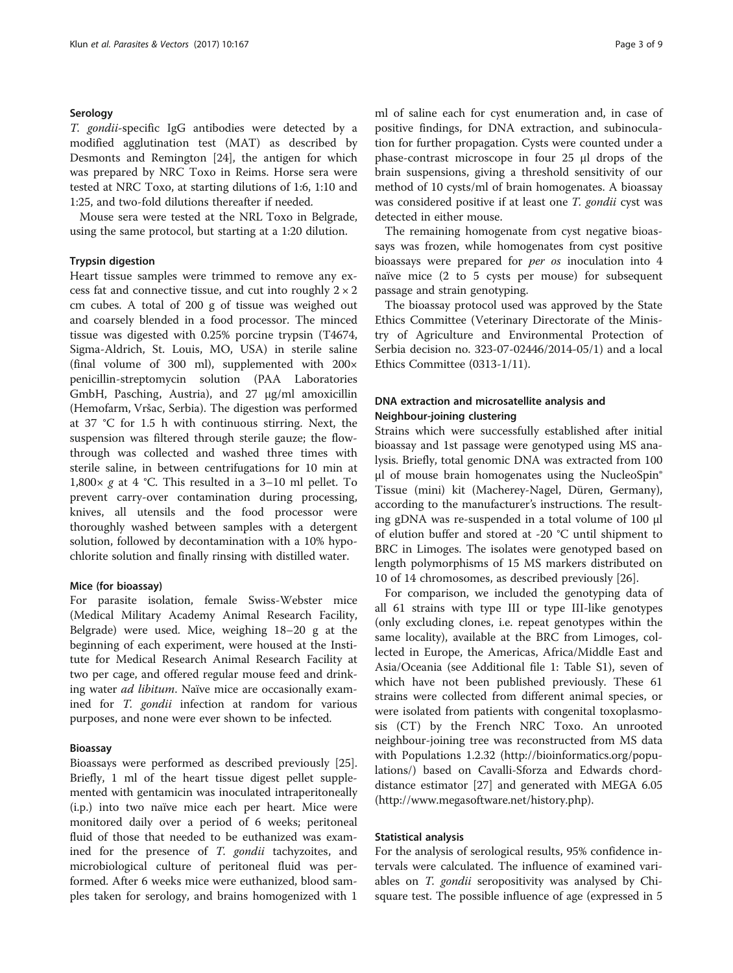## Serology

T. gondii-specific IgG antibodies were detected by a modified agglutination test (MAT) as described by Desmonts and Remington [\[24\]](#page-7-0), the antigen for which was prepared by NRC Toxo in Reims. Horse sera were tested at NRC Toxo, at starting dilutions of 1:6, 1:10 and 1:25, and two-fold dilutions thereafter if needed.

Mouse sera were tested at the NRL Toxo in Belgrade, using the same protocol, but starting at a 1:20 dilution.

## Trypsin digestion

Heart tissue samples were trimmed to remove any excess fat and connective tissue, and cut into roughly  $2 \times 2$ cm cubes. A total of 200 g of tissue was weighed out and coarsely blended in a food processor. The minced tissue was digested with 0.25% porcine trypsin (T4674, Sigma-Aldrich, St. Louis, MO, USA) in sterile saline (final volume of 300 ml), supplemented with 200× penicillin-streptomycin solution (PAA Laboratories GmbH, Pasching, Austria), and 27 μg/ml amoxicillin (Hemofarm, Vršac, Serbia). The digestion was performed at 37 °C for 1.5 h with continuous stirring. Next, the suspension was filtered through sterile gauze; the flowthrough was collected and washed three times with sterile saline, in between centrifugations for 10 min at 1,800 $\times$  g at 4 °C. This resulted in a 3–10 ml pellet. To prevent carry-over contamination during processing, knives, all utensils and the food processor were thoroughly washed between samples with a detergent solution, followed by decontamination with a 10% hypochlorite solution and finally rinsing with distilled water.

#### Mice (for bioassay)

For parasite isolation, female Swiss-Webster mice (Medical Military Academy Animal Research Facility, Belgrade) were used. Mice, weighing 18–20 g at the beginning of each experiment, were housed at the Institute for Medical Research Animal Research Facility at two per cage, and offered regular mouse feed and drinking water ad libitum. Naïve mice are occasionally examined for T. gondii infection at random for various purposes, and none were ever shown to be infected.

#### Bioassay

Bioassays were performed as described previously [\[25](#page-7-0)]. Briefly, 1 ml of the heart tissue digest pellet supplemented with gentamicin was inoculated intraperitoneally (i.p.) into two naïve mice each per heart. Mice were monitored daily over a period of 6 weeks; peritoneal fluid of those that needed to be euthanized was examined for the presence of *T. gondii* tachyzoites, and microbiological culture of peritoneal fluid was performed. After 6 weeks mice were euthanized, blood samples taken for serology, and brains homogenized with 1

ml of saline each for cyst enumeration and, in case of positive findings, for DNA extraction, and subinoculation for further propagation. Cysts were counted under a phase-contrast microscope in four 25 μl drops of the brain suspensions, giving a threshold sensitivity of our method of 10 cysts/ml of brain homogenates. A bioassay was considered positive if at least one T. gondii cyst was detected in either mouse.

The remaining homogenate from cyst negative bioassays was frozen, while homogenates from cyst positive bioassays were prepared for per os inoculation into 4 naïve mice (2 to 5 cysts per mouse) for subsequent passage and strain genotyping.

The bioassay protocol used was approved by the State Ethics Committee (Veterinary Directorate of the Ministry of Agriculture and Environmental Protection of Serbia decision no. 323-07-02446/2014-05/1) and a local Ethics Committee (0313-1/11).

## DNA extraction and microsatellite analysis and Neighbour-joining clustering

Strains which were successfully established after initial bioassay and 1st passage were genotyped using MS analysis. Briefly, total genomic DNA was extracted from 100 μl of mouse brain homogenates using the NucleoSpin® Tissue (mini) kit (Macherey-Nagel, Düren, Germany), according to the manufacturer's instructions. The resulting gDNA was re-suspended in a total volume of 100 μl of elution buffer and stored at -20 °C until shipment to BRC in Limoges. The isolates were genotyped based on length polymorphisms of 15 MS markers distributed on 10 of 14 chromosomes, as described previously [\[26\]](#page-7-0).

For comparison, we included the genotyping data of all 61 strains with type III or type III-like genotypes (only excluding clones, i.e. repeat genotypes within the same locality), available at the BRC from Limoges, collected in Europe, the Americas, Africa/Middle East and Asia/Oceania (see Additional file [1](#page-6-0): Table S1), seven of which have not been published previously. These 61 strains were collected from different animal species, or were isolated from patients with congenital toxoplasmosis (CT) by the French NRC Toxo. An unrooted neighbour-joining tree was reconstructed from MS data with Populations 1.2.32 ([http://bioinformatics.org/popu](http://bioinformatics.org/populations/)[lations/](http://bioinformatics.org/populations/)) based on Cavalli-Sforza and Edwards chorddistance estimator [[27](#page-7-0)] and generated with MEGA 6.05 (<http://www.megasoftware.net/history.php>).

## Statistical analysis

For the analysis of serological results, 95% confidence intervals were calculated. The influence of examined variables on *T. gondii* seropositivity was analysed by Chisquare test. The possible influence of age (expressed in 5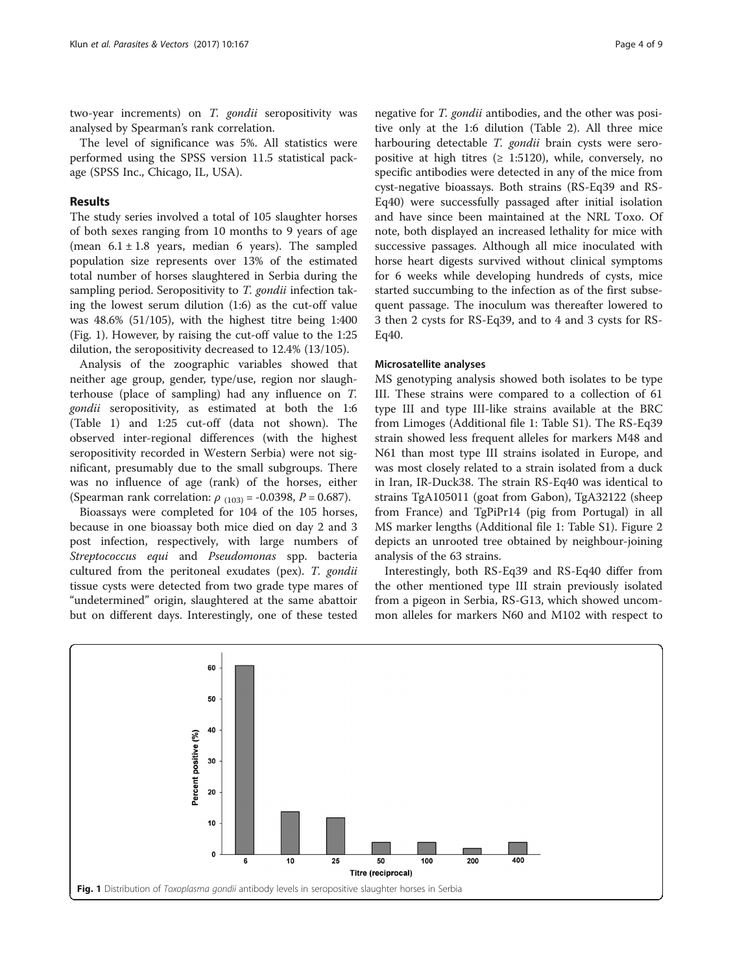two-year increments) on T. gondii seropositivity was analysed by Spearman's rank correlation.

The level of significance was 5%. All statistics were performed using the SPSS version 11.5 statistical package (SPSS Inc., Chicago, IL, USA).

## Results

The study series involved a total of 105 slaughter horses of both sexes ranging from 10 months to 9 years of age (mean  $6.1 \pm 1.8$  years, median 6 years). The sampled population size represents over 13% of the estimated total number of horses slaughtered in Serbia during the sampling period. Seropositivity to T. gondii infection taking the lowest serum dilution (1:6) as the cut-off value was 48.6% (51/105), with the highest titre being 1:400 (Fig. 1). However, by raising the cut-off value to the 1:25 dilution, the seropositivity decreased to 12.4% (13/105).

Analysis of the zoographic variables showed that neither age group, gender, type/use, region nor slaughterhouse (place of sampling) had any influence on T. gondii seropositivity, as estimated at both the 1:6 (Table [1](#page-4-0)) and 1:25 cut-off (data not shown). The observed inter-regional differences (with the highest seropositivity recorded in Western Serbia) were not significant, presumably due to the small subgroups. There was no influence of age (rank) of the horses, either (Spearman rank correlation:  $\rho_{(103)} = -0.0398$ ,  $P = 0.687$ ).

Bioassays were completed for 104 of the 105 horses, because in one bioassay both mice died on day 2 and 3 post infection, respectively, with large numbers of Streptococcus equi and Pseudomonas spp. bacteria cultured from the peritoneal exudates (pex). T. gondii tissue cysts were detected from two grade type mares of "undetermined" origin, slaughtered at the same abattoir but on different days. Interestingly, one of these tested

negative for *T. gondii* antibodies, and the other was positive only at the 1:6 dilution (Table [2\)](#page-4-0). All three mice harbouring detectable T. gondii brain cysts were seropositive at high titres ( $\geq$  1:5120), while, conversely, no specific antibodies were detected in any of the mice from cyst-negative bioassays. Both strains (RS-Eq39 and RS-Eq40) were successfully passaged after initial isolation and have since been maintained at the NRL Toxo. Of note, both displayed an increased lethality for mice with successive passages. Although all mice inoculated with horse heart digests survived without clinical symptoms for 6 weeks while developing hundreds of cysts, mice started succumbing to the infection as of the first subsequent passage. The inoculum was thereafter lowered to 3 then 2 cysts for RS-Eq39, and to 4 and 3 cysts for RS-Eq40.

## Microsatellite analyses

MS genotyping analysis showed both isolates to be type III. These strains were compared to a collection of 61 type III and type III-like strains available at the BRC from Limoges (Additional file [1:](#page-6-0) Table S1). The RS-Eq39 strain showed less frequent alleles for markers M48 and N61 than most type III strains isolated in Europe, and was most closely related to a strain isolated from a duck in Iran, IR-Duck38. The strain RS-Eq40 was identical to strains TgA105011 (goat from Gabon), TgA32122 (sheep from France) and TgPiPr14 (pig from Portugal) in all MS marker lengths (Additional file [1](#page-6-0): Table S1). Figure [2](#page-5-0) depicts an unrooted tree obtained by neighbour-joining analysis of the 63 strains.

Interestingly, both RS-Eq39 and RS-Eq40 differ from the other mentioned type III strain previously isolated from a pigeon in Serbia, RS-G13, which showed uncommon alleles for markers N60 and M102 with respect to

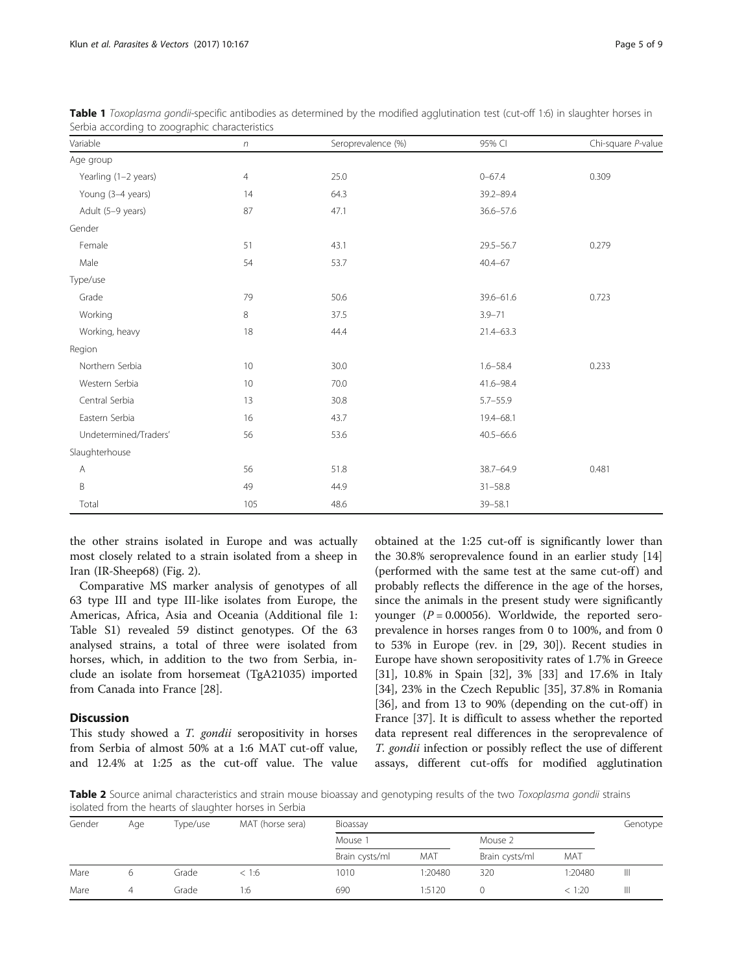| Variable              | $\eta$         | Seroprevalence (%) | 95% CI        | Chi-square P-value |
|-----------------------|----------------|--------------------|---------------|--------------------|
| Age group             |                |                    |               |                    |
| Yearling (1-2 years)  | $\overline{4}$ | 25.0               | $0 - 67.4$    | 0.309              |
| Young (3-4 years)     | 14             | 64.3               | 39.2-89.4     |                    |
| Adult (5-9 years)     | 87             | 47.1               | $36.6 - 57.6$ |                    |
| Gender                |                |                    |               |                    |
| Female                | 51             | 43.1               | $29.5 - 56.7$ | 0.279              |
| Male                  | 54             | 53.7               | $40.4 - 67$   |                    |
| Type/use              |                |                    |               |                    |
| Grade                 | 79             | 50.6               | 39.6-61.6     | 0.723              |
| Working               | 8              | 37.5               | $3.9 - 71$    |                    |
| Working, heavy        | 18             | 44.4               | $21.4 - 63.3$ |                    |
| Region                |                |                    |               |                    |
| Northern Serbia       | 10             | 30.0               | $1.6 - 58.4$  | 0.233              |
| Western Serbia        | 10             | 70.0               | 41.6-98.4     |                    |
| Central Serbia        | 13             | 30.8               | $5.7 - 55.9$  |                    |
| Eastern Serbia        | 16             | 43.7               | 19.4-68.1     |                    |
| Undetermined/Traders' | 56             | 53.6               | $40.5 - 66.6$ |                    |
| Slaughterhouse        |                |                    |               |                    |
| $\forall$             | 56             | 51.8               | 38.7-64.9     | 0.481              |
| B                     | 49             | 44.9               | $31 - 58.8$   |                    |
| Total                 | 105            | 48.6               | $39 - 58.1$   |                    |

<span id="page-4-0"></span>Table 1 Toxoplasma gondii-specific antibodies as determined by the modified agglutination test (cut-off 1:6) in slaughter horses in Serbia according to zoographic characteristics

the other strains isolated in Europe and was actually most closely related to a strain isolated from a sheep in Iran (IR-Sheep68) (Fig. [2\)](#page-5-0).

Comparative MS marker analysis of genotypes of all 63 type III and type III-like isolates from Europe, the Americas, Africa, Asia and Oceania (Additional file [1](#page-6-0): Table S1) revealed 59 distinct genotypes. Of the 63 analysed strains, a total of three were isolated from horses, which, in addition to the two from Serbia, include an isolate from horsemeat (TgA21035) imported from Canada into France [[28](#page-7-0)].

## **Discussion**

This study showed a T. gondii seropositivity in horses from Serbia of almost 50% at a 1:6 MAT cut-off value, and 12.4% at 1:25 as the cut-off value. The value obtained at the 1:25 cut-off is significantly lower than the 30.8% seroprevalence found in an earlier study [[14](#page-7-0)] (performed with the same test at the same cut-off) and probably reflects the difference in the age of the horses, since the animals in the present study were significantly younger  $(P = 0.00056)$ . Worldwide, the reported seroprevalence in horses ranges from 0 to 100%, and from 0 to 53% in Europe (rev. in [[29, 30](#page-7-0)]). Recent studies in Europe have shown seropositivity rates of 1.7% in Greece [[31\]](#page-7-0), 10.8% in Spain [[32\]](#page-8-0), 3% [[33\]](#page-8-0) and 17.6% in Italy [[34\]](#page-8-0), 23% in the Czech Republic [\[35](#page-8-0)], 37.8% in Romania [[36\]](#page-8-0), and from 13 to 90% (depending on the cut-off) in France [[37\]](#page-8-0). It is difficult to assess whether the reported data represent real differences in the seroprevalence of T. gondii infection or possibly reflect the use of different assays, different cut-offs for modified agglutination

Table 2 Source animal characteristics and strain mouse bioassay and genotyping results of the two Toxoplasma gondii strains isolated from the hearts of slaughter horses in Serbia

| BURGER TION IT WIS TIGHTS OF SHARPITICS TIONSCS IN SCIENCE |     |          |                  |                |         |                |            |          |  |  |  |
|------------------------------------------------------------|-----|----------|------------------|----------------|---------|----------------|------------|----------|--|--|--|
| Gender                                                     | Age | Type/use | MAT (horse sera) | Bioassay       |         |                |            | Genotype |  |  |  |
|                                                            |     |          |                  | Mouse 1        |         | Mouse 2        |            |          |  |  |  |
|                                                            |     |          |                  | Brain cysts/ml | MAT     | Brain cysts/ml | <b>MAT</b> |          |  |  |  |
| Mare                                                       | 6   | Grade    | < 1:6            | 1010           | 1:20480 | 320            | 1:20480    | Ш        |  |  |  |
| Mare                                                       | 4   | Grade    | 1:6              | 690            | 1:5120  |                | < 1:20     | Ш        |  |  |  |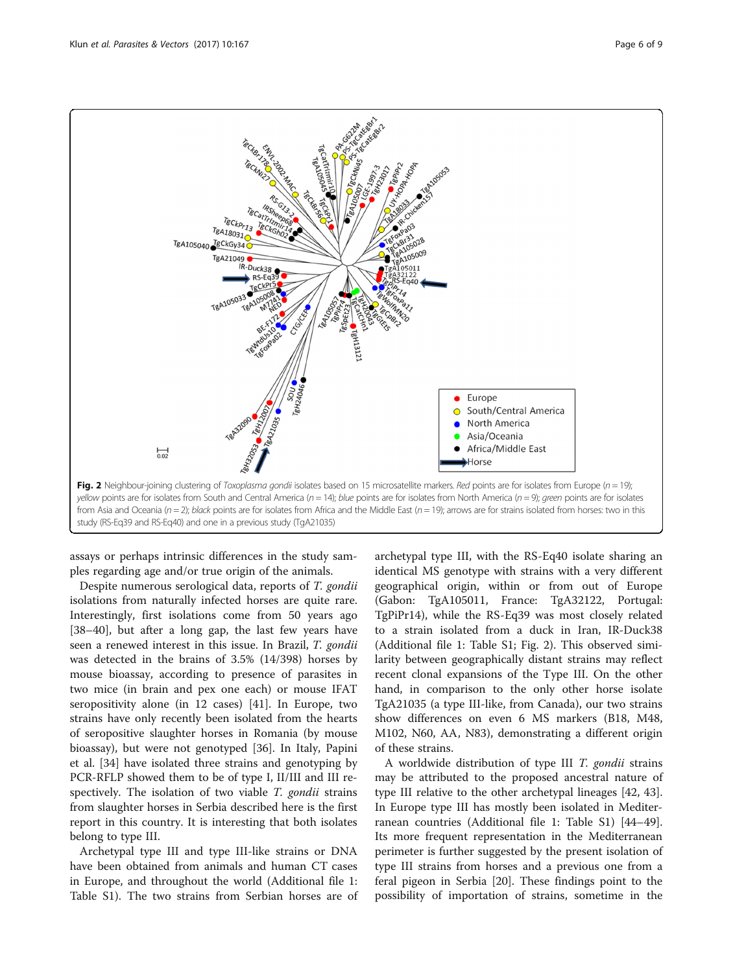<span id="page-5-0"></span>

assays or perhaps intrinsic differences in the study samples regarding age and/or true origin of the animals.

Despite numerous serological data, reports of T. gondii isolations from naturally infected horses are quite rare. Interestingly, first isolations come from 50 years ago [[38](#page-8-0)–[40](#page-8-0)], but after a long gap, the last few years have seen a renewed interest in this issue. In Brazil, T. gondii was detected in the brains of 3.5% (14/398) horses by mouse bioassay, according to presence of parasites in two mice (in brain and pex one each) or mouse IFAT seropositivity alone (in 12 cases) [\[41](#page-8-0)]. In Europe, two strains have only recently been isolated from the hearts of seropositive slaughter horses in Romania (by mouse bioassay), but were not genotyped [[36](#page-8-0)]. In Italy, Papini et al. [\[34\]](#page-8-0) have isolated three strains and genotyping by PCR-RFLP showed them to be of type I, II/III and III respectively. The isolation of two viable T. gondii strains from slaughter horses in Serbia described here is the first report in this country. It is interesting that both isolates belong to type III.

Archetypal type III and type III-like strains or DNA have been obtained from animals and human CT cases in Europe, and throughout the world (Additional file [1](#page-6-0): Table S1). The two strains from Serbian horses are of

archetypal type III, with the RS-Eq40 isolate sharing an identical MS genotype with strains with a very different geographical origin, within or from out of Europe (Gabon: TgA105011, France: TgA32122, Portugal: TgPiPr14), while the RS-Eq39 was most closely related to a strain isolated from a duck in Iran, IR-Duck38 (Additional file [1:](#page-6-0) Table S1; Fig. 2). This observed similarity between geographically distant strains may reflect recent clonal expansions of the Type III. On the other hand, in comparison to the only other horse isolate TgA21035 (a type III-like, from Canada), our two strains show differences on even 6 MS markers (B18, M48, M102, N60, AA, N83), demonstrating a different origin of these strains.

A worldwide distribution of type III T. gondii strains may be attributed to the proposed ancestral nature of type III relative to the other archetypal lineages [\[42, 43](#page-8-0)]. In Europe type III has mostly been isolated in Mediterranean countries (Additional file [1:](#page-6-0) Table S1) [[44](#page-8-0)–[49](#page-8-0)]. Its more frequent representation in the Mediterranean perimeter is further suggested by the present isolation of type III strains from horses and a previous one from a feral pigeon in Serbia [[20\]](#page-7-0). These findings point to the possibility of importation of strains, sometime in the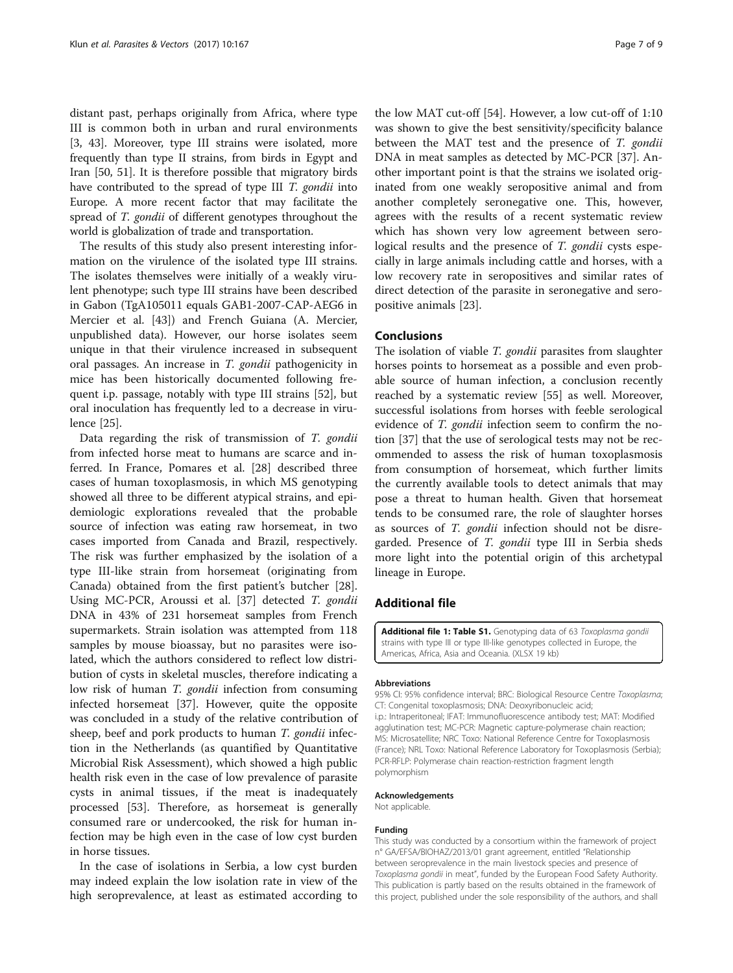<span id="page-6-0"></span>distant past, perhaps originally from Africa, where type III is common both in urban and rural environments [[3,](#page-7-0) [43\]](#page-8-0). Moreover, type III strains were isolated, more frequently than type II strains, from birds in Egypt and Iran [[50](#page-8-0), [51\]](#page-8-0). It is therefore possible that migratory birds have contributed to the spread of type III T. gondii into Europe. A more recent factor that may facilitate the spread of *T. gondii* of different genotypes throughout the world is globalization of trade and transportation.

The results of this study also present interesting information on the virulence of the isolated type III strains. The isolates themselves were initially of a weakly virulent phenotype; such type III strains have been described in Gabon (TgA105011 equals GAB1-2007-CAP-AEG6 in Mercier et al. [\[43](#page-8-0)]) and French Guiana (A. Mercier, unpublished data). However, our horse isolates seem unique in that their virulence increased in subsequent oral passages. An increase in T. gondii pathogenicity in mice has been historically documented following frequent i.p. passage, notably with type III strains [\[52](#page-8-0)], but oral inoculation has frequently led to a decrease in virulence [[25\]](#page-7-0).

Data regarding the risk of transmission of T. gondii from infected horse meat to humans are scarce and inferred. In France, Pomares et al. [\[28](#page-7-0)] described three cases of human toxoplasmosis, in which MS genotyping showed all three to be different atypical strains, and epidemiologic explorations revealed that the probable source of infection was eating raw horsemeat, in two cases imported from Canada and Brazil, respectively. The risk was further emphasized by the isolation of a type III-like strain from horsemeat (originating from Canada) obtained from the first patient's butcher [\[28](#page-7-0)]. Using MC-PCR, Aroussi et al. [\[37](#page-8-0)] detected T. gondii DNA in 43% of 231 horsemeat samples from French supermarkets. Strain isolation was attempted from 118 samples by mouse bioassay, but no parasites were isolated, which the authors considered to reflect low distribution of cysts in skeletal muscles, therefore indicating a low risk of human *T. gondii* infection from consuming infected horsemeat [\[37](#page-8-0)]. However, quite the opposite was concluded in a study of the relative contribution of sheep, beef and pork products to human T. gondii infection in the Netherlands (as quantified by Quantitative Microbial Risk Assessment), which showed a high public health risk even in the case of low prevalence of parasite cysts in animal tissues, if the meat is inadequately processed [\[53](#page-8-0)]. Therefore, as horsemeat is generally consumed rare or undercooked, the risk for human infection may be high even in the case of low cyst burden in horse tissues.

In the case of isolations in Serbia, a low cyst burden may indeed explain the low isolation rate in view of the high seroprevalence, at least as estimated according to

the low MAT cut-off [[54\]](#page-8-0). However, a low cut-off of 1:10 was shown to give the best sensitivity/specificity balance between the MAT test and the presence of T. gondii DNA in meat samples as detected by MC-PCR [\[37](#page-8-0)]. Another important point is that the strains we isolated originated from one weakly seropositive animal and from another completely seronegative one. This, however, agrees with the results of a recent systematic review which has shown very low agreement between serological results and the presence of T. gondii cysts especially in large animals including cattle and horses, with a low recovery rate in seropositives and similar rates of direct detection of the parasite in seronegative and seropositive animals [\[23](#page-7-0)].

## Conclusions

The isolation of viable *T. gondii* parasites from slaughter horses points to horsemeat as a possible and even probable source of human infection, a conclusion recently reached by a systematic review [\[55](#page-8-0)] as well. Moreover, successful isolations from horses with feeble serological evidence of *T. gondii* infection seem to confirm the notion [\[37\]](#page-8-0) that the use of serological tests may not be recommended to assess the risk of human toxoplasmosis from consumption of horsemeat, which further limits the currently available tools to detect animals that may pose a threat to human health. Given that horsemeat tends to be consumed rare, the role of slaughter horses as sources of T. gondii infection should not be disregarded. Presence of T. gondii type III in Serbia sheds more light into the potential origin of this archetypal lineage in Europe.

## Additional file

[Additional file 1: Table S1.](dx.doi.org/10.1186/s13071-017-2104-x) Genotyping data of 63 Toxoplasma gondii strains with type III or type III-like genotypes collected in Europe, the Americas, Africa, Asia and Oceania. (XLSX 19 kb)

#### Abbreviations

95% CI: 95% confidence interval; BRC: Biological Resource Centre Toxoplasma; CT: Congenital toxoplasmosis; DNA: Deoxyribonucleic acid; i.p.: Intraperitoneal; IFAT: Immunofluorescence antibody test; MAT: Modified agglutination test; MC-PCR: Magnetic capture-polymerase chain reaction; MS: Microsatellite; NRC Toxo: National Reference Centre for Toxoplasmosis (France); NRL Toxo: National Reference Laboratory for Toxoplasmosis (Serbia); PCR-RFLP: Polymerase chain reaction-restriction fragment length polymorphism

#### Acknowledgements

Not applicable.

#### Funding

This study was conducted by a consortium within the framework of project n° GA/EFSA/BIOHAZ/2013/01 grant agreement, entitled "Relationship between seroprevalence in the main livestock species and presence of Toxoplasma gondii in meat", funded by the European Food Safety Authority. This publication is partly based on the results obtained in the framework of this project, published under the sole responsibility of the authors, and shall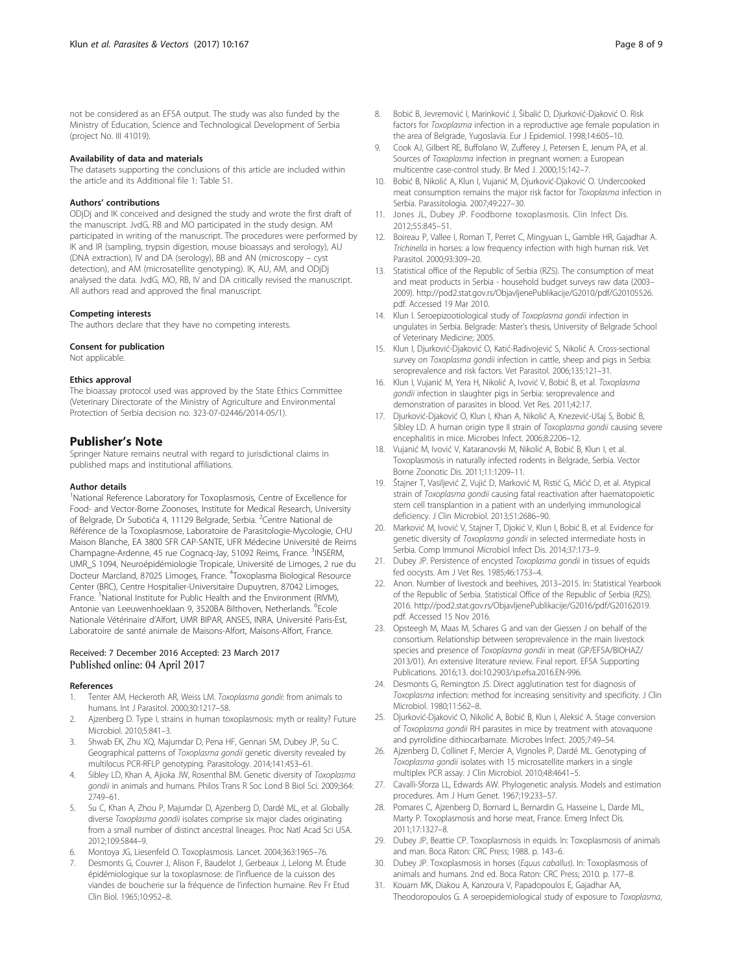<span id="page-7-0"></span>not be considered as an EFSA output. The study was also funded by the Ministry of Education, Science and Technological Development of Serbia (project No. III 41019).

#### Availability of data and materials

The datasets supporting the conclusions of this article are included within the article and its Additional file [1:](#page-6-0) Table S1.

#### Authors' contributions

ODjDj and IK conceived and designed the study and wrote the first draft of the manuscript. JvdG, RB and MO participated in the study design. AM participated in writing of the manuscript. The procedures were performed by IK and IR (sampling, trypsin digestion, mouse bioassays and serology), AU (DNA extraction), IV and DA (serology), BB and AN (microscopy – cyst detection), and AM (microsatellite genotyping). IK, AU, AM, and ODjDj analysed the data. JvdG, MO, RB, IV and DA critically revised the manuscript. All authors read and approved the final manuscript.

#### Competing interests

The authors declare that they have no competing interests.

#### Consent for publication

Not applicable.

#### Ethics approval

The bioassay protocol used was approved by the State Ethics Committee (Veterinary Directorate of the Ministry of Agriculture and Environmental Protection of Serbia decision no. 323-07-02446/2014-05/1).

#### Publisher's Note

Springer Nature remains neutral with regard to jurisdictional claims in published maps and institutional affiliations.

#### Author details

<sup>1</sup>National Reference Laboratory for Toxoplasmosis, Centre of Excellence for Food- and Vector-Borne Zoonoses, Institute for Medical Research, University of Belgrade, Dr Subotića 4, 11129 Belgrade, Serbia. <sup>2</sup>Centre National de Référence de la Toxoplasmose, Laboratoire de Parasitologie-Mycologie, CHU Maison Blanche, EA 3800 SFR CAP-SANTE, UFR Médecine Université de Reims Champagne-Ardenne, 45 rue Cognacq-Jay, 51092 Reims, France. <sup>3</sup>INSERM, UMR\_S 1094, Neuroépidémiologie Tropicale, Université de Limoges, 2 rue du Docteur Marcland, 87025 Limoges, France. <sup>4</sup>Toxoplasma Biological Resource Center (BRC), Centre Hospitalier-Universitaire Dupuytren, 87042 Limoges, France. <sup>5</sup>National Institute for Public Health and the Environment (RIVM), Antonie van Leeuwenhoeklaan 9, 3520BA Bilthoven, Netherlands. <sup>6</sup>Ecole Nationale Vétérinaire d'Alfort, UMR BIPAR, ANSES, INRA, Université Paris-Est, Laboratoire de santé animale de Maisons-Alfort, Maisons-Alfort, France.

## Received: 7 December 2016 Accepted: 23 March 2017 Published online: 04 April 2017

#### References

- 1. Tenter AM, Heckeroth AR, Weiss LM. Toxoplasma gondii: from animals to humans. Int J Parasitol. 2000;30:1217–58.
- Ajzenberg D. Type I, strains in human toxoplasmosis: myth or reality? Future Microbiol. 2010;5:841–3.
- 3. Shwab EK, Zhu XQ, Majumdar D, Pena HF, Gennari SM, Dubey JP, Su C. Geographical patterns of Toxoplasma gondii genetic diversity revealed by multilocus PCR-RFLP genotyping. Parasitology. 2014;141:453–61.
- 4. Sibley LD, Khan A, Ajioka JW, Rosenthal BM. Genetic diversity of Toxoplasma gondii in animals and humans. Philos Trans R Soc Lond B Biol Sci. 2009;364: 2749–61.
- 5. Su C, Khan A, Zhou P, Majumdar D, Ajzenberg D, Dardé ML, et al. Globally diverse Toxoplasma gondii isolates comprise six major clades originating from a small number of distinct ancestral lineages. Proc Natl Acad Sci USA. 2012;109:5844–9.
- 6. Montoya JG, Liesenfeld O. Toxoplasmosis. Lancet. 2004;363:1965–76.
- Desmonts G, Couvrer J, Alison F, Baudelot J, Gerbeaux J, Lelong M. Étude épidémiologique sur la toxoplasmose: de l'influence de la cuisson des viandes de boucherie sur la fréquence de l'infection humaine. Rev Fr Etud Clin Biol. 1965;10:952–8.
- Cook AJ, Gilbert RE, Buffolano W, Zufferey J, Petersen E, Jenum PA, et al. Sources of Toxoplasma infection in pregnant women: a European multicentre case-control study. Br Med J. 2000;15:142–7.
- 10. Bobić B, Nikolić A, Klun I, Vujanić M, Djurković-Djaković O. Undercooked meat consumption remains the major risk factor for Toxoplasma infection in Serbia. Parassitologia. 2007;49:227–30.
- 11. Jones JL, Dubey JP. Foodborne toxoplasmosis. Clin Infect Dis. 2012;55:845–51.
- 12. Boireau P, Vallee I, Roman T, Perret C, Mingyuan L, Gamble HR, Gajadhar A. Trichinella in horses: a low frequency infection with high human risk. Vet Parasitol. 2000;93:309–20.
- 13. Statistical office of the Republic of Serbia (RZS). The consumption of meat and meat products in Serbia - household budget surveys raw data (2003– 2009). [http://pod2.stat.gov.rs/ObjavljenePublikacije/G2010/pdf/G20105526.](http://pod2.stat.gov.rs/ObjavljenePublikacije/G2010/pdf/G20105526.pdf) [pdf](http://pod2.stat.gov.rs/ObjavljenePublikacije/G2010/pdf/G20105526.pdf). Accessed 19 Mar 2010.
- 14. Klun I. Seroepizootiological study of Toxoplasma gondii infection in ungulates in Serbia. Belgrade: Master's thesis, University of Belgrade School of Veterinary Medicine; 2005.
- 15. Klun I, Djurković-Djaković O, Katić-Radivojević S, Nikolić A. Cross-sectional survey on Toxoplasma gondii infection in cattle, sheep and pigs in Serbia: seroprevalence and risk factors. Vet Parasitol. 2006;135:121–31.
- 16. Klun I, Vujanić M, Yera H, Nikolić A, Ivović V, Bobić B, et al. Toxoplasma gondii infection in slaughter pigs in Serbia: seroprevalence and demonstration of parasites in blood. Vet Res. 2011;42:17.
- 17. Djurković-Djaković O, Klun I, Khan A, Nikolić A, Knezević-Ušaj S, Bobić B, Sibley LD. A human origin type II strain of Toxoplasma gondii causing severe encephalitis in mice. Microbes Infect. 2006;8:2206–12.
- 18. Vujanić M, Ivović V, Kataranovski M, Nikolić A, Bobić B, Klun I, et al. Toxoplasmosis in naturally infected rodents in Belgrade, Serbia. Vector Borne Zoonotic Dis. 2011;11:1209–11.
- 19. Štajner T, Vasiljević Z, Vujić D, Marković M, Ristić G, Mićić D, et al. Atypical strain of Toxoplasma gondii causing fatal reactivation after haematopoietic stem cell transplantion in a patient with an underlying immunological deficiency. J Clin Microbiol. 2013;51:2686–90.
- 20. Marković M, Ivović V, Stajner T, Djokić V, Klun I, Bobić B, et al. Evidence for genetic diversity of Toxoplasma gondii in selected intermediate hosts in Serbia. Comp Immunol Microbiol Infect Dis. 2014;37:173–9.
- 21. Dubey JP. Persistence of encysted Toxoplasma gondii in tissues of equids fed oocysts. Am J Vet Res. 1985;46:1753–4.
- 22. Anon. Number of livestock and beehives, 2013–2015. In: Statistical Yearbook of the Republic of Serbia. Statistical Office of the Republic of Serbia (RZS). 2016. http://pod2.stat.gov.rs/ObjavljenePublikacije/G2016/pdf/G20162019. pdf. Accessed 15 Nov 2016.
- 23. Opsteegh M, Maas M, Schares G and van der Giessen J on behalf of the consortium. Relationship between seroprevalence in the main livestock species and presence of Toxoplasma gondii in meat (GP/EFSA/BIOHAZ/ 2013/01). An extensive literature review. Final report. EFSA Supporting Publications. 2016;13. doi:10.2903/sp.efsa.2016.EN-996.
- 24. Desmonts G, Remington JS. Direct agglutination test for diagnosis of Toxoplasma infection: method for increasing sensitivity and specificity. J Clin Microbiol. 1980;11:562–8.
- 25. Djurković-Djaković O, Nikolić A, Bobić B, Klun I, Aleksić A. Stage conversion of Toxoplasma gondii RH parasites in mice by treatment with atovaquone and pyrrolidine dithiocarbamate. Microbes Infect. 2005;7:49–54.
- 26. Ajzenberg D, Collinet F, Mercier A, Vignoles P, Dardé ML. Genotyping of Toxoplasma gondii isolates with 15 microsatellite markers in a single multiplex PCR assay. J Clin Microbiol. 2010;48:4641–5.
- 27. Cavalli-Sforza LL, Edwards AW. Phylogenetic analysis. Models and estimation procedures. Am J Hum Genet. 1967;19:233–57.
- 28. Pomares C, Ajzenberg D, Bornard L, Bernardin G, Hasseine L, Darde ML, Marty P. Toxoplasmosis and horse meat, France. Emerg Infect Dis. 2011;17:1327–8.
- 29. Dubey JP, Beattie CP. Toxoplasmosis in equids. In: Toxoplasmosis of animals and man. Boca Raton: CRC Press; 1988. p. 143–6.
- 30. Dubey JP. Toxoplasmosis in horses (Equus caballus). In: Toxoplasmosis of animals and humans. 2nd ed. Boca Raton: CRC Press; 2010. p. 177–8.
- 31. Kouam MK, Diakou A, Kanzoura V, Papadopoulos E, Gajadhar AA, Theodoropoulos G. A seroepidemiological study of exposure to Toxoplasma,